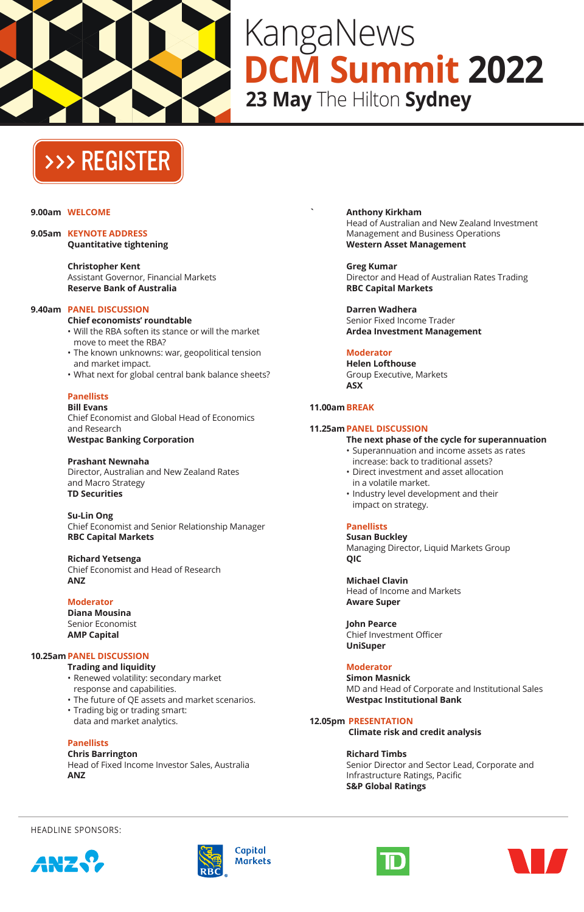

# KangaNews **DCM Summit 2022 23 May** The Hilton **Sydney**

# [>>> REGISTER](https://kanganews.eventsair.com/2022-dcm/)

#### **9.00am WELCOME**

**9.05am KEYNOTE ADDRESS Quantitative tightening**

> **Christopher Kent** Assistant Governor, Financial Markets **Reserve Bank of Australia**

#### **9.40am PANEL DISCUSSION**

- **Chief economists' roundtable** • Will the RBA soften its stance or will the market
- move to meet the RBA? • The known unknowns: war, geopolitical tension and market impact.
- What next for global central bank balance sheets?

#### **Panellists Bill Evans**

Chief Economist and Global Head of Economics and Research **Westpac Banking Corporation**

**Prashant Newnaha** Director, Australian and New Zealand Rates and Macro Strategy **TD Securities**

**Su-Lin Ong** Chief Economist and Senior Relationship Manager **RBC Capital Markets**

#### **Richard Yetsenga** Chief Economist and Head of Research **ANZ**

**Moderator**

**Diana Mousina** Senior Economist **AMP Capital**

#### **10.25amPANEL DISCUSSION**

- **Trading and liquidity** • Renewed volatility: secondary market response and capabilities.
- The future of QE assets and market scenarios.
- Trading big or trading smart:
- data and market analytics.

**Panellists**

**Chris Barrington** Head of Fixed Income Investor Sales, Australia **ANZ**

**` Anthony Kirkham** Head of Australian and New Zealand Investment Management and Business Operations **Western Asset Management**

**Greg Kumar** Director and Head of Australian Rates Trading **RBC Capital Markets**

**Darren Wadhera** Senior Fixed Income Trader **Ardea Investment Management**

## **Moderator**

**Helen Lofthouse** Group Executive, Markets **ASX**

### **11.00amBREAK**

### **11.25amPANEL DISCUSSION**

- **The next phase of the cycle for superannuation** • Superannuation and income assets as rates
- increase: back to traditional assets? • Direct investment and asset allocation
- in a volatile market.
- Industry level development and their impact on strategy.

# **Panellists**

**Susan Buckley** Managing Director, Liquid Markets Group **QIC**

**Michael Clavin** Head of Income and Markets **Aware Super**

**John Pearce** Chief Investment Officer **UniSuper**

# **Moderator**

**Simon Masnick** MD and Head of Corporate and Institutional Sales **Westpac Institutional Bank**

**12.05pm PRESENTATION**

 **Climate risk and credit analysis**

#### **Richard Timbs**

Senior Director and Sector Lead, Corporate and Infrastructure Ratings, Pacific **S&P Global Ratings**

HEADLINE SPONSORS:







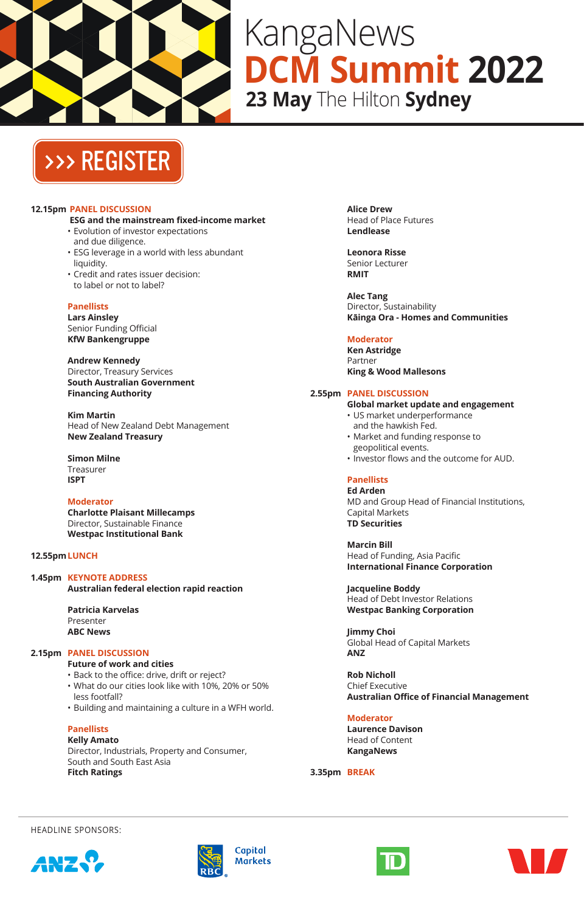

# KangaNews **DCM Summit 2022 23 May** The Hilton **Sydney**

# [>>> REGISTER](https://kanganews.eventsair.com/2022-dcm/)

#### **12.15pm PANEL DISCUSSION**

- **ESG and the mainstream fixed-income market** • Evolution of investor expectations
- and due diligence.
- ESG leverage in a world with less abundant liquidity.
- Credit and rates issuer decision: to label or not to label?

#### **Panellists**

**Lars Ainsley** Senior Funding Official **KfW Bankengruppe**

**Andrew Kennedy** Director, Treasury Services **South Australian Government Financing Authority**

**Kim Martin** Head of New Zealand Debt Management **New Zealand Treasury**

**Simon Milne** Treasurer **ISPT**

**Moderator Charlotte Plaisant Millecamps** Director, Sustainable Finance **Westpac Institutional Bank**

# **12.55pmLUNCH**

**1.45pm KEYNOTE ADDRESS Australian federal election rapid reaction**

> **Patricia Karvelas** Presenter **ABC News**

#### **2.15pm PANEL DISCUSSION**

- **Future of work and cities**
- Back to the office: drive, drift or reject? • What do our cities look like with 10%, 20% or 50% less footfall?
- Building and maintaining a culture in a WFH world.

**Panellists Kelly Amato** Director, Industrials, Property and Consumer, South and South East Asia **Fitch Ratings**

**Alice Drew** Head of Place Futures **Lendlease**

**Leonora Risse** Senior Lecturer **RMIT**

**Alec Tang** Director, Sustainability  **Kāinga Ora - Homes and Communities**

### **Moderator**

**Ken Astridge** Partner **King & Wood Mallesons**

#### **2.55pm PANEL DISCUSSION**

**Global market update and engagement** • US market underperformance

- and the hawkish Fed. • Market and funding response to geopolitical events.
- Investor flows and the outcome for AUD.

#### **Panellists Ed Arden**

MD and Group Head of Financial Institutions, Capital Markets **TD Securities**

**Marcin Bill** Head of Funding, Asia Pacific **International Finance Corporation**

**Jacqueline Boddy** Head of Debt Investor Relations **Westpac Banking Corporation**

**Jimmy Choi** Global Head of Capital Markets **ANZ**

**Rob Nicholl** Chief Executive **Australian Office of Financial Management**

# **Moderator**

**Laurence Davison** Head of Content **KangaNews**

**3.35pm BREAK**